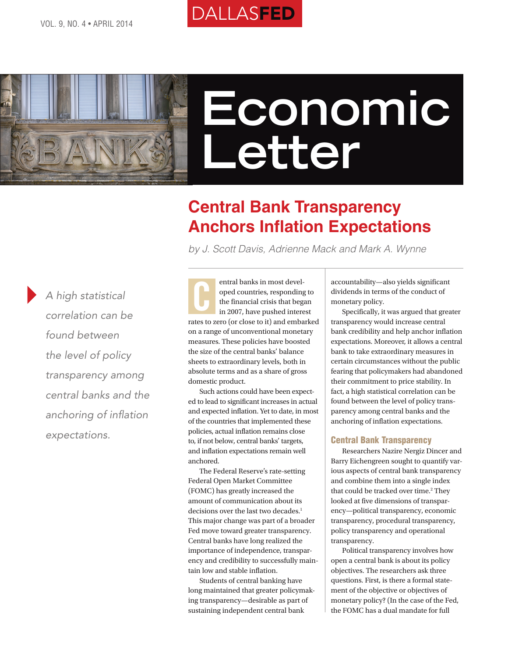

# **Economic Letter**

# **Central Bank Transparency Anchors Inflation Expectations**

*by J. Scott Davis, Adrienne Mack and Mark A. Wynne*

*A high statistical correlation can be found between the level of policy transparency among central banks and the anchoring of inflation expectations.*

entral banks in most developed countries, responding to the financial crisis that began in 2007, have pushed interest rates to zero (or close to it) and embarked on a range of unconventional monetary measures. These policies have boosted the size of the central banks' balance sheets to extraordinary levels, both in absolute terms and as a share of gross domestic product. C

**DALLASFED** 

Such actions could have been expected to lead to significant increases in actual and expected inflation. Yet to date, in most of the countries that implemented these policies, actual inflation remains close to, if not below, central banks' targets, and inflation expectations remain well anchored.

The Federal Reserve's rate-setting Federal Open Market Committee (FOMC) has greatly increased the amount of communication about its decisions over the last two decades.<sup>1</sup> This major change was part of a broader Fed move toward greater transparency. Central banks have long realized the importance of independence, transparency and credibility to successfully maintain low and stable inflation.

Students of central banking have long maintained that greater policymaking transparency—desirable as part of sustaining independent central bank

accountability—also yields significant dividends in terms of the conduct of monetary policy.

Specifically, it was argued that greater transparency would increase central bank credibility and help anchor inflation expectations. Moreover, it allows a central bank to take extraordinary measures in certain circumstances without the public fearing that policymakers had abandoned their commitment to price stability. In fact, a high statistical correlation can be found between the level of policy transparency among central banks and the anchoring of inflation expectations.

# Central Bank Transparency

Researchers Nazire Nergiz Dincer and Barry Eichengreen sought to quantify various aspects of central bank transparency and combine them into a single index that could be tracked over time.<sup>2</sup> They looked at five dimensions of transparency—political transparency, economic transparency, procedural transparency, policy transparency and operational transparency.

Political transparency involves how open a central bank is about its policy objectives. The researchers ask three questions. First, is there a formal statement of the objective or objectives of monetary policy? (In the case of the Fed, the FOMC has a dual mandate for full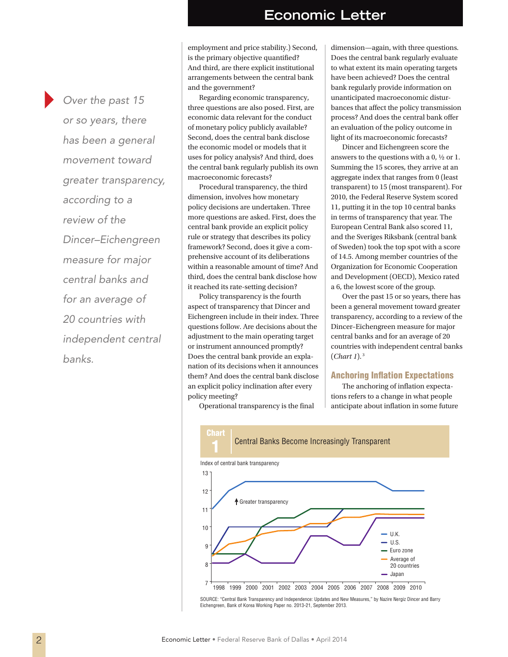# **Economic Letter**

*Over the past 15 or so years, there has been a general movement toward greater transparency, according to a review of the Dincer–Eichengreen measure for major central banks and for an average of 20 countries with independent central banks.*

employment and price stability.) Second, is the primary objective quantified? And third, are there explicit institutional arrangements between the central bank and the government?

Regarding economic transparency, three questions are also posed. First, are economic data relevant for the conduct of monetary policy publicly available? Second, does the central bank disclose the economic model or models that it uses for policy analysis? And third, does the central bank regularly publish its own macroeconomic forecasts?

Procedural transparency, the third dimension, involves how monetary policy decisions are undertaken. Three more questions are asked. First, does the central bank provide an explicit policy rule or strategy that describes its policy framework? Second, does it give a comprehensive account of its deliberations within a reasonable amount of time? And third, does the central bank disclose how it reached its rate-setting decision?

Policy transparency is the fourth aspect of transparency that Dincer and Eichengreen include in their index. Three questions follow. Are decisions about the adjustment to the main operating target or instrument announced promptly? Does the central bank provide an explanation of its decisions when it announces them? And does the central bank disclose an explicit policy inclination after every policy meeting?

dimension—again, with three questions. Does the central bank regularly evaluate to what extent its main operating targets have been achieved? Does the central bank regularly provide information on unanticipated macroeconomic disturbances that affect the policy transmission process? And does the central bank offer an evaluation of the policy outcome in light of its macroeconomic forecasts?

Dincer and Eichengreen score the answers to the questions with a 0,  $\frac{1}{2}$  or 1. Summing the 15 scores, they arrive at an aggregate index that ranges from 0 (least transparent) to 15 (most transparent). For 2010, the Federal Reserve System scored 11, putting it in the top 10 central banks in terms of transparency that year. The European Central Bank also scored 11, and the Sveriges Riksbank (central bank of Sweden) took the top spot with a score of 14.5. Among member countries of the Organization for Economic Cooperation and Development (OECD), Mexico rated a 6, the lowest score of the group.

Over the past 15 or so years, there has been a general movement toward greater transparency, according to a review of the Dincer–Eichengreen measure for major central banks and for an average of 20 countries with independent central banks (*Chart 1*). 3

## Anchoring Inflation Expectations

The anchoring of inflation expectations refers to a change in what people anticipate about inflation in some future



Operational transparency is the final

SOURCE: "Central Bank Transparency and Independence: Updates and New Measures," by Nazire Nergiz Dincer and Barry Eichengreen, Bank of Korea Working Paper no. 2013-21, September 2013.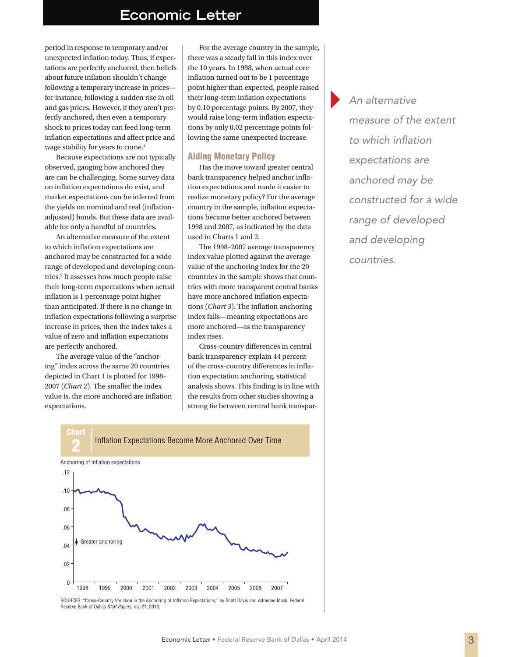# **Economic Letter**

period in response to temporary and/or unexpected inflation today. Thus, if expectations are perfectly anchored, then beliefs about future inflation shouldn't change following a temporary increase in prices for instance, following a sudden rise in oil and gas prices. However, if they aren't perfectly anchored, then even a temporary shock to prices today can feed long-term inflation expectations and affect price and wage stability for years to come.4

Because expectations are not typically observed, gauging how anchored they are can be challenging. Some survey data on inflation expectations do exist, and market expectations can be inferred from the yields on nominal and real (inflationadjusted) bonds. But these data are available for only a handful of countries.

An alternative measure of the extent to which inflation expectations are anchored may be constructed for a wide range of developed and developing countries.5 It assesses how much people raise their long-term expectations when actual inflation is 1 percentage point higher than anticipated. If there is no change in inflation expectations following a surprise increase in prices, then the index takes a value of zero and inflation expectations are perfectly anchored.

The average value of the "anchoring" index across the same 20 countries depicted in Chart 1 is plotted for 1998– 2007 (*Chart 2*). The smaller the index value is, the more anchored are inflation expectations.

For the average country in the sample, there was a steady fall in this index over the 10 years. In 1998, when actual core inflation turned out to be 1 percentage point higher than expected, people raised their long-term inflation expectations by 0.10 percentage points. By 2007, they would raise long-term inflation expectations by only 0.02 percentage points following the same unexpected increase.

### Aiding Monetary Policy

Has the move toward greater central bank transparency helped anchor inflation expectations and made it easier to realize monetary policy? For the average country in the sample, inflation expectations became better anchored between 1998 and 2007, as indicated by the data used in Charts 1 and 2.

The 1998–2007 average transparency index value plotted against the average value of the anchoring index for the 20 countries in the sample shows that countries with more transparent central banks have more anchored inflation expectations (*Chart 3*). The inflation anchoring index falls—meaning expectations are more anchored—as the transparency index rises.

Cross-country differences in central bank transparency explain 44 percent of the cross-country differences in inflation expectation anchoring, statistical analysis shows. This finding is in line with the results from other studies showing a strong tie between central bank transpar*An alternative measure of the extent to which inflation expectations are anchored may be constructed for a wide range of developed and developing countries.*



SOURCES: "Cross-Country Variation in the Anchoring of Inflation Expectations," by Scott Davis and Adrienne Mack, Federal Reserve Bank of Dallas *Staff Papers*, no. 21, 2013.